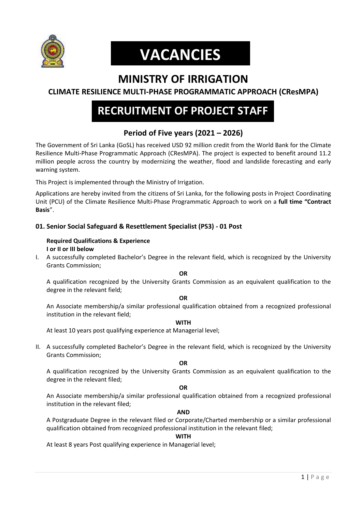

# **VACANCIES**

## **MINISTRY OF IRRIGATION**

### **CLIMATE RESILIENCE MULTI-PHASE PROGRAMMATIC APPROACH (CResMPA)**

## **RECRUITMENT OF PROJECT STAFF**

### **Period of Five years (2021 – 2026)**

The Government of Sri Lanka (GoSL) has received USD 92 million credit from the World Bank for the Climate Resilience Multi-Phase Programmatic Approach (CResMPA). The project is expected to benefit around 11.2 million people across the country by modernizing the weather, flood and landslide forecasting and early warning system.

This Project is implemented through the Ministry of Irrigation.

Applications are hereby invited from the citizens of Sri Lanka, for the following posts in Project Coordinating Unit (PCU) of the Climate Resilience Multi-Phase Programmatic Approach to work on a **full time "Contract Basis**".

#### **01. Senior Social Safeguard & Resettlement Specialist (PS3) - 01 Post**

#### **Required Qualifications & Experience I or II or III below**

I. A successfully completed Bachelor's Degree in the relevant field, which is recognized by the University Grants Commission;

#### **OR**

A qualification recognized by the University Grants Commission as an equivalent qualification to the degree in the relevant field;

#### **OR**

An Associate membership/a similar professional qualification obtained from a recognized professional institution in the relevant field;

#### **WITH**

At least 10 years post qualifying experience at Managerial level;

II. A successfully completed Bachelor's Degree in the relevant field, which is recognized by the University Grants Commission;

**OR**

A qualification recognized by the University Grants Commission as an equivalent qualification to the degree in the relevant filed;

#### **OR**

An Associate membership/a similar professional qualification obtained from a recognized professional institution in the relevant filed;

#### **AND**

A Postgraduate Degree in the relevant filed or Corporate/Charted membership or a similar professional qualification obtained from recognized professional institution in the relevant filed;

#### **WITH**

At least 8 years Post qualifying experience in Managerial level;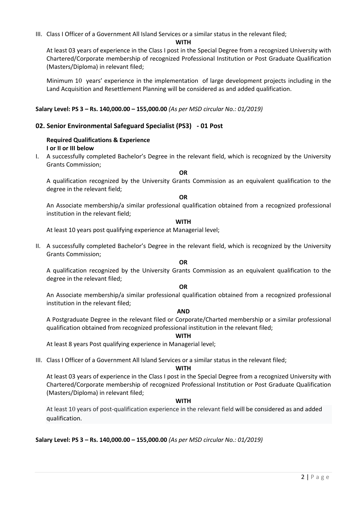III. Class I Officer of a Government All Island Services or a similar status in the relevant filed;

#### **WITH**

At least 03 years of experience in the Class I post in the Special Degree from a recognized University with Chartered/Corporate membership of recognized Professional Institution or Post Graduate Qualification (Masters/Diploma) in relevant filed;

Minimum 10 years' experience in the implementation of large development projects including in the Land Acquisition and Resettlement Planning will be considered as and added qualification.

**Salary Level: PS 3 – Rs. 140,000.00 – 155,000.00** *(As per MSD circular No.: 01/2019)*

#### **02. Senior Environmental Safeguard Specialist (PS3) - 01 Post**

#### **Required Qualifications & Experience I or II or III below**

I. A successfully completed Bachelor's Degree in the relevant field, which is recognized by the University Grants Commission;

**OR**

A qualification recognized by the University Grants Commission as an equivalent qualification to the degree in the relevant field;

#### **OR**

An Associate membership/a similar professional qualification obtained from a recognized professional institution in the relevant field;

#### **WITH**

At least 10 years post qualifying experience at Managerial level;

II. A successfully completed Bachelor's Degree in the relevant field, which is recognized by the University Grants Commission;

#### **OR**

A qualification recognized by the University Grants Commission as an equivalent qualification to the degree in the relevant filed;

#### **OR**

An Associate membership/a similar professional qualification obtained from a recognized professional institution in the relevant filed;

#### **AND**

A Postgraduate Degree in the relevant filed or Corporate/Charted membership or a similar professional qualification obtained from recognized professional institution in the relevant filed;

#### **WITH**

At least 8 years Post qualifying experience in Managerial level;

III. Class I Officer of a Government All Island Services or a similar status in the relevant filed;

#### **WITH**

At least 03 years of experience in the Class I post in the Special Degree from a recognized University with Chartered/Corporate membership of recognized Professional Institution or Post Graduate Qualification (Masters/Diploma) in relevant filed;

#### **WITH**

At least 10 years of post-qualification experience in the relevant field will be considered as and added qualification.

**Salary Level: PS 3 – Rs. 140,000.00 – 155,000.00** *(As per MSD circular No.: 01/2019)*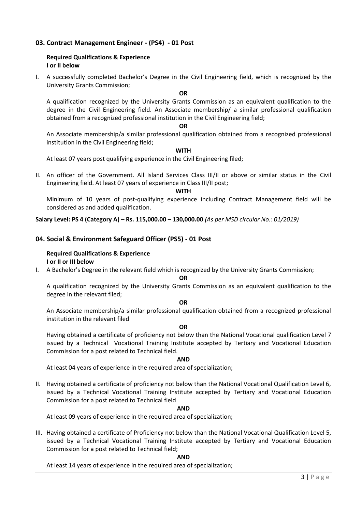#### **03. Contract Management Engineer - (PS4) - 01 Post**

#### **Required Qualifications & Experience I or II below**

I. A successfully completed Bachelor's Degree in the Civil Engineering field, which is recognized by the University Grants Commission;

**OR**

A qualification recognized by the University Grants Commission as an equivalent qualification to the degree in the Civil Engineering field. An Associate membership/ a similar professional qualification obtained from a recognized professional institution in the Civil Engineering field;

#### **OR**

An Associate membership/a similar professional qualification obtained from a recognized professional institution in the Civil Engineering field;

**WITH**

At least 07 years post qualifying experience in the Civil Engineering filed;

II. An officer of the Government. All Island Services Class III/II or above or similar status in the Civil Engineering field. At least 07 years of experience in Class III/II post;

**WITH**

Minimum of 10 years of post-qualifying experience including Contract Management field will be considered as and added qualification.

**Salary Level: PS 4 (Category A) – Rs. 115,000.00 – 130,000.00** *(As per MSD circular No.: 01/2019)*

#### **04. Social & Environment Safeguard Officer (PS5) - 01 Post**

#### **Required Qualifications & Experience I or II or III below**

I. A Bachelor's Degree in the relevant field which is recognized by the University Grants Commission;

#### **OR**

A qualification recognized by the University Grants Commission as an equivalent qualification to the degree in the relevant filed;

#### **OR**

An Associate membership/a similar professional qualification obtained from a recognized professional institution in the relevant filed

#### **OR**

Having obtained a certificate of proficiency not below than the National Vocational qualification Level 7 issued by a Technical Vocational Training Institute accepted by Tertiary and Vocational Education Commission for a post related to Technical field.

#### **AND**

At least 04 years of experience in the required area of specialization;

II. Having obtained a certificate of proficiency not below than the National Vocational Qualification Level 6, issued by a Technical Vocational Training Institute accepted by Tertiary and Vocational Education Commission for a post related to Technical field

#### **AND**

At least 09 years of experience in the required area of specialization;

III. Having obtained a certificate of Proficiency not below than the National Vocational Qualification Level 5, issued by a Technical Vocational Training Institute accepted by Tertiary and Vocational Education Commission for a post related to Technical field;

#### **AND**

At least 14 years of experience in the required area of specialization;